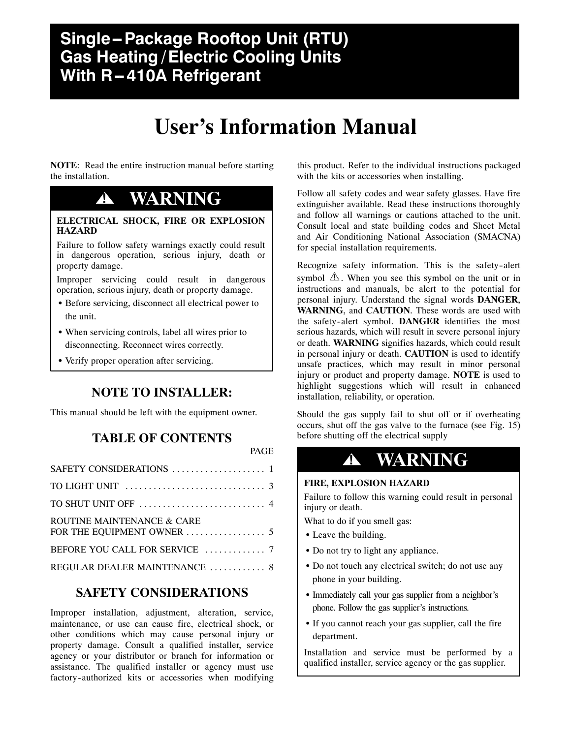# **User's Information Manual**

PAGE

**NOTE**: Read the entire instruction manual before starting the installation.

## **! WARNING**

#### **ELECTRICAL SHOCK, FIRE OR EXPLOSION HAZARD**

Failure to follow safety warnings exactly could result in dangerous operation, serious injury, death or property damage.

Improper servicing could result in dangerous operation, serious injury, death or property damage.

- Before servicing, disconnect all electrical power to the unit.
- When servicing controls, label all wires prior to disconnecting. Reconnect wires correctly.
- Verify proper operation after servicing.

### **NOTE TO INSTALLER:**

This manual should be left with the equipment owner.

### **TABLE OF CONTENTS**

### SAFETY CONSIDERATIONS 1 .................... TO LIGHT UNIT  $\dots\dots\dots\dots\dots\dots\dots\dots\dots$ . TO SHUT UNIT OFF  $\dots\dots\dots\dots\dots\dots\dots\dots$ . 4 ROUTINE MAINTENANCE & CARE FOR THE EQUIPMENT OWNER 5 ................. BEFORE YOU CALL FOR SERVICE 7 ............. REGULAR DEALER MAINTENANCE ............. 8

### **SAFETY CONSIDERATIONS**

Improper installation, adjustment, alteration, service, maintenance, or use can cause fire, electrical shock, or other conditions which may cause personal injury or property damage. Consult a qualified installer, service agency or your distributor or branch for information or assistance. The qualified installer or agency must use factory-authorized kits or accessories when modifying this product. Refer to the individual instructions packaged with the kits or accessories when installing.

Follow all safety codes and wear safety glasses. Have fire extinguisher available. Read these instructions thoroughly and follow all warnings or cautions attached to the unit. Consult local and state building codes and Sheet Metal and Air Conditioning National Association (SMACNA) for special installation requirements.

Recognize safety information. This is the safety-alert symbol  $\triangle$ . When you see this symbol on the unit or in instructions and manuals, be alert to the potential for personal injury. Understand the signal words **DANGER**, **WARNING**, and **CAUTION**. These words are used with the safety-alert symbol. **DANGER** identifies the most serious hazards, which will result in severe personal injury or death. **WARNING** signifies hazards, which could result in personal injury or death. **CAUTION** is used to identify unsafe practices, which may result in minor personal injury or product and property damage. **NOTE** is used to highlight suggestions which will result in enhanced installation, reliability, or operation.

Should the gas supply fail to shut off or if overheating occurs, shut off the gas valve to the furnace (see Fig. 15) before shutting off the electrical supply

# **! WARNING**

#### **FIRE, EXPLOSION HAZARD**

Failure to follow this warning could result in personal injury or death.

What to do if you smell gas:

- Leave the building.
- Do not try to light any appliance.
- Do not touch any electrical switch; do not use any phone in your building.
- Immediately call your gas supplier from a neighbor's phone. Follow the gas supplier's instructions.
- If you cannot reach your gas supplier, call the fire department.

Installation and service must be performed by a qualified installer, service agency or the gas supplier.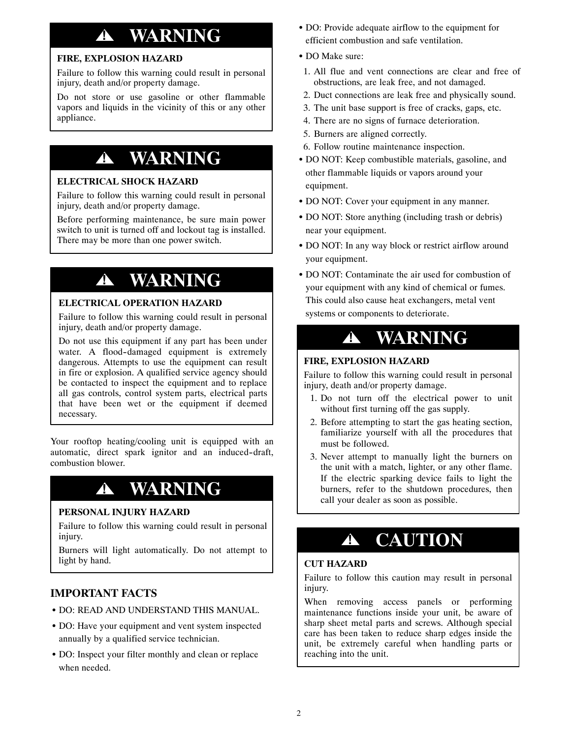# **! WARNING**

#### **FIRE, EXPLOSION HAZARD**

Failure to follow this warning could result in personal injury, death and/or property damage.

Do not store or use gasoline or other flammable vapors and liquids in the vicinity of this or any other appliance.

# **! WARNING**

#### **ELECTRICAL SHOCK HAZARD**

Failure to follow this warning could result in personal injury, death and/or property damage.

Before performing maintenance, be sure main power switch to unit is turned off and lockout tag is installed. There may be more than one power switch.

# **! WARNING**

#### **ELECTRICAL OPERATION HAZARD**

Failure to follow this warning could result in personal injury, death and/or property damage.

Do not use this equipment if any part has been under water. A flood-damaged equipment is extremely dangerous. Attempts to use the equipment can result in fire or explosion. A qualified service agency should be contacted to inspect the equipment and to replace all gas controls, control system parts, electrical parts that have been wet or the equipment if deemed necessary.

Your rooftop heating/cooling unit is equipped with an automatic, direct spark ignitor and an induced-draft, combustion blower.

# **! WARNING**

#### **PERSONAL INJURY HAZARD**

Failure to follow this warning could result in personal injury.

Burners will light automatically. Do not attempt to light by hand.

#### **IMPORTANT FACTS**

- DO: READ AND UNDERSTAND THIS MANUAL.
- DO: Have your equipment and vent system inspected annually by a qualified service technician.
- DO: Inspect your filter monthly and clean or replace when needed.
- DO: Provide adequate airflow to the equipment for efficient combustion and safe ventilation.
- DO Make sure:
- 1. All flue and vent connections are clear and free of obstructions, are leak free, and not damaged.
- 2. Duct connections are leak free and physically sound.
- 3. The unit base support is free of cracks, gaps, etc.
- 4. There are no signs of furnace deterioration.
- 5. Burners are aligned correctly.
- 6. Follow routine maintenance inspection.
- DO NOT: Keep combustible materials, gasoline, and other flammable liquids or vapors around your equipment.
- DO NOT: Cover your equipment in any manner.
- DO NOT: Store anything (including trash or debris) near your equipment.
- DO NOT: In any way block or restrict airflow around your equipment.
- DO NOT: Contaminate the air used for combustion of your equipment with any kind of chemical or fumes. This could also cause heat exchangers, metal vent systems or components to deteriorate.

## **! WARNING**

#### **FIRE, EXPLOSION HAZARD**

Failure to follow this warning could result in personal injury, death and/or property damage.

- 1. Do not turn off the electrical power to unit without first turning off the gas supply.
- 2. Before attempting to start the gas heating section, familiarize yourself with all the procedures that must be followed.
- 3. Never attempt to manually light the burners on the unit with a match, lighter, or any other flame. If the electric sparking device fails to light the burners, refer to the shutdown procedures, then call your dealer as soon as possible.

# **! CAUTION**

#### **CUT HAZARD**

Failure to follow this caution may result in personal injury.

When removing access panels or performing maintenance functions inside your unit, be aware of sharp sheet metal parts and screws. Although special care has been taken to reduce sharp edges inside the unit, be extremely careful when handling parts or reaching into the unit.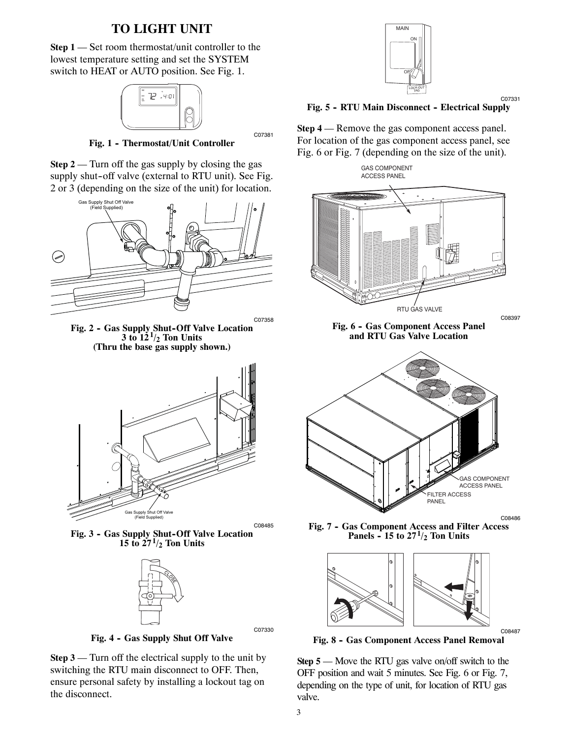### **TO LIGHT UNIT**

**Step 1** — Set room thermostat/unit controller to the lowest temperature setting and set the SYSTEM switch to HEAT or AUTO position. See Fig. 1.



Fig. 1 - Thermostat/Unit Controller

C07381

**Step 2** — Turn off the gas supply by closing the gas supply shut-off valve (external to RTU unit). See Fig. 2 or 3 (depending on the size of the unit) for location.



Fig. 2 - Gas Supply Shut-Off Valve Location  $3 \text{ to } 12^1/2$  Ton Units **(Thru the base gas supply shown.)**



Fig. 3 - Gas Supply Shut-Off Valve Location **15 to 271/2 Ton Units**



Fig. 4 - Gas Supply Shut Off Valve

**Step 3** — Turn off the electrical supply to the unit by switching the RTU main disconnect to OFF. Then, ensure personal safety by installing a lockout tag on the disconnect.



C07331

Fig. 5 - RTU Main Disconnect - Electrical Supply

**Step 4** — Remove the gas component access panel. For location of the gas component access panel, see Fig. 6 or Fig. 7 (depending on the size of the unit).





**Fig. 7 -- Gas Component Access and Filter Access Panels - 15 to 27**<sup> $1/2$ </sup> Ton Units



**Fig. 8 -- Gas Component Access Panel Removal**

C08487

**Step 5** — Move the RTU gas valve on/off switch to the OFF position and wait 5 minutes. See Fig. 6 or Fig. 7, depending on the type of unit, for location of RTU gas valve.

C07330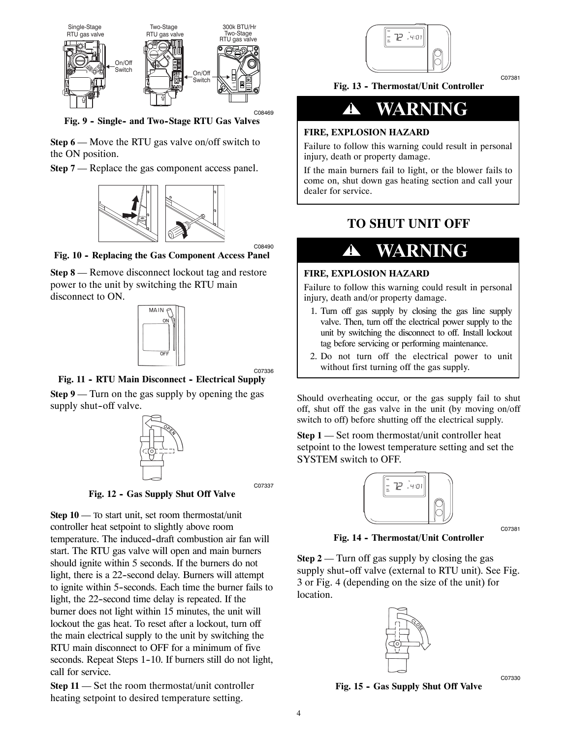

Fig. 9 - Single- and Two-Stage RTU Gas Valves

**Step 6** — Move the RTU gas valve on/off switch to the ON position.

**Step 7** — Replace the gas component access panel.



Fig. 10 - Replacing the Gas Component Access Panel

**Step 8** — Remove disconnect lockout tag and restore power to the unit by switching the RTU main disconnect to ON.



C07336

C08490

Fig. 11 - RTU Main Disconnect - Electrical Supply **Step 9** — Turn on the gas supply by opening the gas supply shut-off valve.



C07337

**Fig. 12 - Gas Supply Shut Off Valve** 

**Step 10** — To start unit, set room thermostat/unit controller heat setpoint to slightly above room temperature. The induced-draft combustion air fan will start. The RTU gas valve will open and main burners should ignite within 5 seconds. If the burners do not light, there is a 22-second delay. Burners will attempt to ignite within 5--seconds. Each time the burner fails to light, the 22--second time delay is repeated. If the burner does not light within 15 minutes, the unit will lockout the gas heat. To reset after a lockout, turn off the main electrical supply to the unit by switching the RTU main disconnect to OFF for a minimum of five seconds. Repeat Steps 1-10. If burners still do not light, call for service.

**Step 11** — Set the room thermostat/unit controller heating setpoint to desired temperature setting.



Fig. 13 - Thermostat/Unit Controller



#### **FIRE, EXPLOSION HAZARD**

Failure to follow this warning could result in personal injury, death or property damage.

If the main burners fail to light, or the blower fails to come on, shut down gas heating section and call your dealer for service.

### **TO SHUT UNIT OFF**

# **! WARNING**

#### **FIRE, EXPLOSION HAZARD**

Failure to follow this warning could result in personal injury, death and/or property damage.

- 1. Turn off gas supply by closing the gas line supply valve. Then, turn off the electrical power supply to the unit by switching the disconnect to off. Install lockout tag before servicing or performing maintenance.
- 2. Do not turn off the electrical power to unit without first turning off the gas supply.

Should overheating occur, or the gas supply fail to shut off, shut off the gas valve in the unit (by moving on/off switch to off) before shutting off the electrical supply.

**Step 1** — Set room thermostat/unit controller heat setpoint to the lowest temperature setting and set the SYSTEM switch to OFF.



C07381

Fig. 14 - Thermostat/Unit Controller

**Step 2** — Turn off gas supply by closing the gas supply shut-off valve (external to RTU unit). See Fig. 3 or Fig. 4 (depending on the size of the unit) for location.



C07330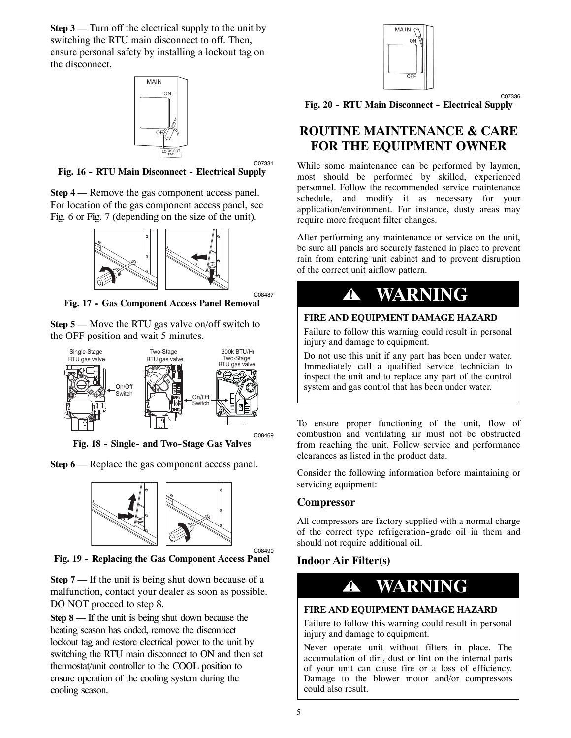**Step 3** — Turn off the electrical supply to the unit by switching the RTU main disconnect to off. Then, ensure personal safety by installing a lockout tag on the disconnect.



C07331

C08487

C08490

Fig. 16 - RTU Main Disconnect - Electrical Supply

**Step 4** — Remove the gas component access panel. For location of the gas component access panel, see Fig. 6 or Fig. 7 (depending on the size of the unit).



Fig. 17 - Gas Component Access Panel Removal

**Step 5** — Move the RTU gas valve on/off switch to the OFF position and wait 5 minutes.



Fig. 18 - Single- and Two-Stage Gas Valves

**Step 6** — Replace the gas component access panel.



Fig. 19 - Replacing the Gas Component Access Panel

**Step 7** — If the unit is being shut down because of a malfunction, contact your dealer as soon as possible. DO NOT proceed to step 8.

**Step 8** — If the unit is being shut down because the heating season has ended, remove the disconnect lockout tag and restore electrical power to the unit by switching the RTU main disconnect to ON and then set thermostat/unit controller to the COOL position to ensure operation of the cooling system during the cooling season.



C07336

Fig. 20 - RTU Main Disconnect - Electrical Supply

### **ROUTINE MAINTENANCE & CARE FOR THE EQUIPMENT OWNER**

While some maintenance can be performed by laymen, most should be performed by skilled, experienced personnel. Follow the recommended service maintenance schedule, and modify it as necessary for your application/environment. For instance, dusty areas may require more frequent filter changes.

After performing any maintenance or service on the unit, be sure all panels are securely fastened in place to prevent rain from entering unit cabinet and to prevent disruption of the correct unit airflow pattern.

# **! WARNING**

#### **FIRE AND EQUIPMENT DAMAGE HAZARD**

Failure to follow this warning could result in personal injury and damage to equipment.

Do not use this unit if any part has been under water. Immediately call a qualified service technician to inspect the unit and to replace any part of the control system and gas control that has been under water.

To ensure proper functioning of the unit, flow of combustion and ventilating air must not be obstructed from reaching the unit. Follow service and performance clearances as listed in the product data.

Consider the following information before maintaining or servicing equipment:

#### **Compressor**

All compressors are factory supplied with a normal charge of the correct type refrigeration-grade oil in them and should not require additional oil.

### **Indoor Air Filter(s)**



#### **FIRE AND EQUIPMENT DAMAGE HAZARD**

Failure to follow this warning could result in personal injury and damage to equipment.

Never operate unit without filters in place. The accumulation of dirt, dust or lint on the internal parts of your unit can cause fire or a loss of efficiency. Damage to the blower motor and/or compressors could also result.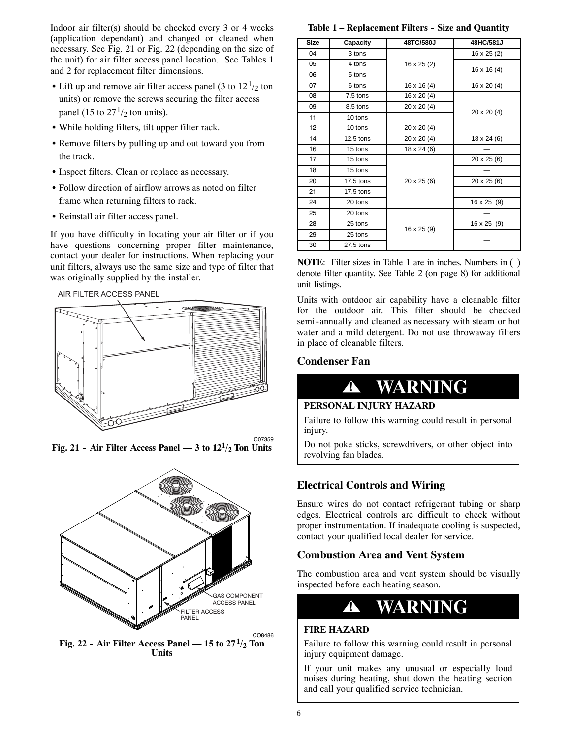Indoor air filter(s) should be checked every 3 or 4 weeks (application dependant) and changed or cleaned when necessary. See Fig. 21 or Fig. 22 (depending on the size of the unit) for air filter access panel location. See Tables 1 and 2 for replacement filter dimensions.

- Lift up and remove air filter access panel (3 to  $12<sup>1</sup>/2$  ton units) or remove the screws securing the filter access panel (15 to  $27<sup>1</sup>/2$  ton units).
- While holding filters, tilt upper filter rack.
- Remove filters by pulling up and out toward you from the track.
- Inspect filters. Clean or replace as necessary.
- Follow direction of airflow arrows as noted on filter frame when returning filters to rack.
- Reinstall air filter access panel.

If you have difficulty in locating your air filter or if you have questions concerning proper filter maintenance, contact your dealer for instructions. When replacing your unit filters, always use the same size and type of filter that was originally supplied by the installer.

AIR FILTER ACCESS PANEL



C07359 **Fig. 21 - Air Filter Access Panel — 3 to**  $12^{1/2}$  **Ton Units** 



**Fig. 22 - Air Filter Access Panel — 15 to**  $27<sup>1</sup>/2$  **Ton Units**

Table 1 – Replacement Filters - Size and Quantity

| Size | Capacity    | 48TC/580J          | 48HC/581J          |
|------|-------------|--------------------|--------------------|
| 04   | 3 tons      | $16 \times 25$ (2) | $16 \times 25$ (2) |
| 05   | 4 tons      |                    | $16 \times 16 (4)$ |
| 06   | 5 tons      |                    |                    |
| 07   | 6 tons      | $16 \times 16 (4)$ | $16 \times 20(4)$  |
| 08   | 7.5 tons    | $16 \times 20(4)$  |                    |
| 09   | 8.5 tons    | 20 x 20 (4)        | $20 \times 20(4)$  |
| 11   | 10 tons     |                    |                    |
| 12   | 10 tons     | 20 x 20 (4)        |                    |
| 14   | $12.5$ tons | $20 \times 20(4)$  | $18 \times 24(6)$  |
| 16   | 15 tons     | $18 \times 24(6)$  |                    |
| 17   | 15 tons     |                    | $20 \times 25(6)$  |
| 18   | 15 tons     |                    |                    |
| 20   | 17.5 tons   | $20 \times 25(6)$  | 20 x 25 (6)        |
| 21   | 17.5 tons   |                    |                    |
| 24   | 20 tons     |                    | 16 x 25 (9)        |
| 25   | 20 tons     | 16 x 25 (9)        |                    |
| 28   | 25 tons     |                    | 16 x 25 (9)        |
| 29   | 25 tons     |                    |                    |
| 30   | 27.5 tons   |                    |                    |
|      |             |                    |                    |

**NOTE**: Filter sizes in Table 1 are in inches. Numbers in ( ) denote filter quantity. See Table 2 (on page 8) for additional unit listings.

Units with outdoor air capability have a cleanable filter for the outdoor air. This filter should be checked semi-annually and cleaned as necessary with steam or hot water and a mild detergent. Do not use throwaway filters in place of cleanable filters.

#### **Condenser Fan**



#### **PERSONAL INJURY HAZARD**

Failure to follow this warning could result in personal injury.

Do not poke sticks, screwdrivers, or other object into revolving fan blades.

#### **Electrical Controls and Wiring**

Ensure wires do not contact refrigerant tubing or sharp edges. Electrical controls are difficult to check without proper instrumentation. If inadequate cooling is suspected, contact your qualified local dealer for service.

#### **Combustion Area and Vent System**

The combustion area and vent system should be visually inspected before each heating season.



#### **FIRE HAZARD**

Failure to follow this warning could result in personal injury equipment damage.

If your unit makes any unusual or especially loud noises during heating, shut down the heating section and call your qualified service technician.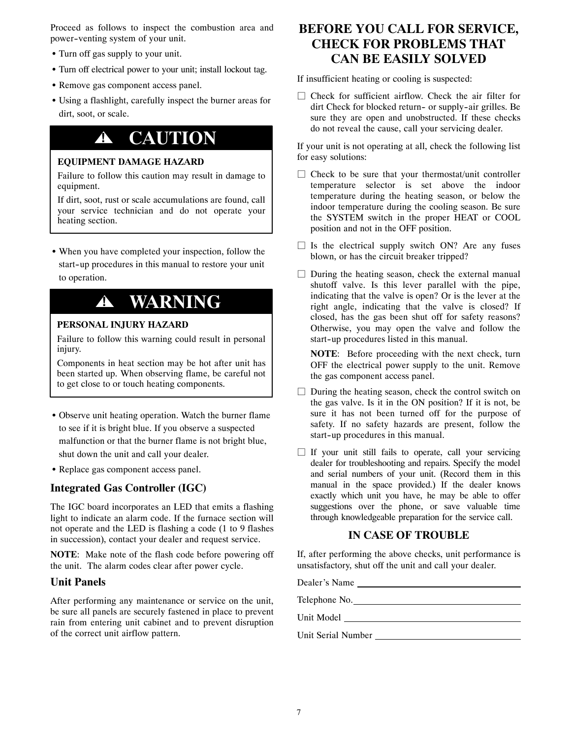Proceed as follows to inspect the combustion area and power--venting system of your unit.

- Turn off gas supply to your unit.
- Turn off electrical power to your unit; install lockout tag.
- Remove gas component access panel.
- Using a flashlight, carefully inspect the burner areas for dirt, soot, or scale.

# **! CAUTION**

#### **EQUIPMENT DAMAGE HAZARD**

Failure to follow this caution may result in damage to equipment.

If dirt, soot, rust or scale accumulations are found, call your service technician and do not operate your heating section.

• When you have completed your inspection, follow the start-up procedures in this manual to restore your unit to operation.

## **! WARNING**

#### **PERSONAL INJURY HAZARD**

Failure to follow this warning could result in personal injury.

Components in heat section may be hot after unit has been started up. When observing flame, be careful not to get close to or touch heating components.

- Observe unit heating operation. Watch the burner flame to see if it is bright blue. If you observe a suspected malfunction or that the burner flame is not bright blue, shut down the unit and call your dealer.
- Replace gas component access panel.

#### **Integrated Gas Controller (IGC)**

The IGC board incorporates an LED that emits a flashing light to indicate an alarm code. If the furnace section will not operate and the LED is flashing a code (1 to 9 flashes in succession), contact your dealer and request service.

**NOTE**: Make note of the flash code before powering off the unit. The alarm codes clear after power cycle.

#### **Unit Panels**

After performing any maintenance or service on the unit, be sure all panels are securely fastened in place to prevent rain from entering unit cabinet and to prevent disruption of the correct unit airflow pattern.

### **BEFORE YOU CALL FOR SERVICE, CHECK FOR PROBLEMS THAT CAN BE EASILY SOLVED**

If insufficient heating or cooling is suspected:

 $\Box$  Check for sufficient airflow. Check the air filter for dirt Check for blocked return- or supply-air grilles. Be sure they are open and unobstructed. If these checks do not reveal the cause, call your servicing dealer.

If your unit is not operating at all, check the following list for easy solutions:

- $\Box$  Check to be sure that your thermostat/unit controller temperature selector is set above the indoor temperature during the heating season, or below the indoor temperature during the cooling season. Be sure the SYSTEM switch in the proper HEAT or COOL position and not in the OFF position.
- $\Box$  Is the electrical supply switch ON? Are any fuses blown, or has the circuit breaker tripped?
- $\Box$  During the heating season, check the external manual shutoff valve. Is this lever parallel with the pipe, indicating that the valve is open? Or is the lever at the right angle, indicating that the valve is closed? If closed, has the gas been shut off for safety reasons? Otherwise, you may open the valve and follow the start-up procedures listed in this manual.

**NOTE**: Before proceeding with the next check, turn OFF the electrical power supply to the unit. Remove the gas component access panel.

- $\Box$  During the heating season, check the control switch on the gas valve. Is it in the ON position? If it is not, be sure it has not been turned off for the purpose of safety. If no safety hazards are present, follow the start-up procedures in this manual.
- $\Box$  If your unit still fails to operate, call your servicing dealer for troubleshooting and repairs. Specify the model and serial numbers of your unit. (Record them in this manual in the space provided.) If the dealer knows exactly which unit you have, he may be able to offer suggestions over the phone, or save valuable time through knowledgeable preparation for the service call.

#### **IN CASE OF TROUBLE**

If, after performing the above checks, unit performance is unsatisfactory, shut off the unit and call your dealer.

Dealer's Name Telephone No. Unit Model Unit Serial Number